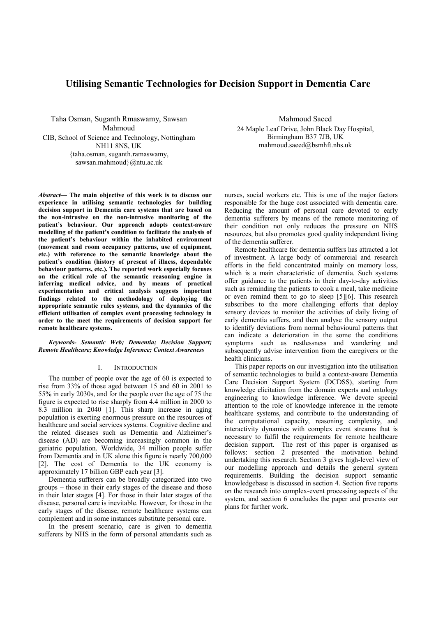# **Utilising Semantic Technologies for Decision Support in Dementia Care**

Taha Osman, Suganth Rmaswamy, Sawsan Mahmoud CIB, School of Science and Technology, Nottingham NH11 8NS, UK

{taha.osman, suganth.ramaswamy, sawsan.mahmoud}@ntu.ac.uk

*Abstract***— The main objective of this work is to discuss our experience in utilising semantic technologies for building decision support in Dementia care systems that are based on the non-intrusive on the non-intrusive monitoring of the patient's behaviour. Our approach adopts context-aware modelling of the patient's condition to facilitate the analysis of the patient's behaviour within the inhabited environment (movement and room occupancy patterns, use of equipment, etc.) with reference to the semantic knowledge about the patient's condition (history of present of illness, dependable behaviour patterns, etc.). The reported work especially focuses on the critical role of the semantic reasoning engine in inferring medical advice, and by means of practical experimentation and critical analysis suggests important findings related to the methodology of deploying the appropriate semantic rules systems, and the dynamics of the efficient utilisation of complex event processing technology in order to the meet the requirements of decision support for remote healthcare systems.** 

*Keywords- Semantic Web; Dementia; Decision Support; Remote Healthcare; Knowledge Inference; Context Awareness* 

#### I. INTRODUCTION

The number of people over the age of 60 is expected to rise from 33% of those aged between 15 and 60 in 2001 to 55% in early 2030s, and for the people over the age of 75 the figure is expected to rise sharply from 4.4 million in 2000 to 8.3 million in 2040 [1]. This sharp increase in aging population is exerting enormous pressure on the resources of healthcare and social services systems. Cognitive decline and the related diseases such as Dementia and Alzheimer's disease (AD) are becoming increasingly common in the geriatric population. Worldwide, 34 million people suffer from Dementia and in UK alone this figure is nearly 700,000 [2]. The cost of Dementia to the UK economy is approximately 17 billion GBP each year [3].

Dementia sufferers can be broadly categorized into two groups – those in their early stages of the disease and those in their later stages [4]. For those in their later stages of the disease, personal care is inevitable. However, for those in the early stages of the disease, remote healthcare systems can complement and in some instances substitute personal care.

In the present scenario, care is given to dementia sufferers by NHS in the form of personal attendants such as

Mahmoud Saeed 24 Maple Leaf Drive, John Black Day Hospital, Birmingham B37 7JB, UK mahmoud.saeed@bsmhft.nhs.uk

nurses, social workers etc. This is one of the major factors responsible for the huge cost associated with dementia care. Reducing the amount of personal care devoted to early dementia sufferers by means of the remote monitoring of their condition not only reduces the pressure on NHS resources, but also promotes good quality independent living of the dementia sufferer.

Remote healthcare for dementia suffers has attracted a lot of investment. A large body of commercial and research efforts in the field concentrated mainly on memory loss, which is a main characteristic of dementia. Such systems offer guidance to the patients in their day-to-day activities such as reminding the patients to cook a meal, take medicine or even remind them to go to sleep [5][6]. This research subscribes to the more challenging efforts that deploy sensory devices to monitor the activities of daily living of early dementia suffers, and then analyse the sensory output to identify deviations from normal behavioural patterns that can indicate a deterioration in the some the conditions symptoms such as restlessness and wandering and subsequently advise intervention from the caregivers or the health clinicians.

This paper reports on our investigation into the utilisation of semantic technologies to build a context-aware Dementia Care Decision Support System (DCDSS), starting from knowledge elicitation from the domain experts and ontology engineering to knowledge inference. We devote special attention to the role of knowledge inference in the remote healthcare systems, and contribute to the understanding of the computational capacity, reasoning complexity, and interactivity dynamics with complex event streams that is necessary to fulfil the requirements for remote healthcare decision support. The rest of this paper is organised as follows: section 2 presented the motivation behind undertaking this research. Section 3 gives high-level view of our modelling approach and details the general system requirements. Building the decision support semantic knowledgebase is discussed in section 4. Section five reports on the research into complex-event processing aspects of the system, and section 6 concludes the paper and presents our plans for further work.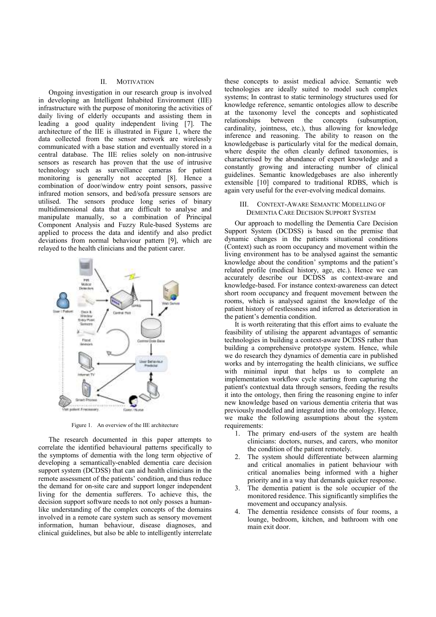## II. MOTIVATION

Ongoing investigation in our research group is involved in developing an Intelligent Inhabited Environment (IIE) infrastructure with the purpose of monitoring the activities of daily living of elderly occupants and assisting them in leading a good quality independent living [7]. The architecture of the IIE is illustrated in Figure 1, where the data collected from the sensor network are wirelessly communicated with a base station and eventually stored in a central database. The IIE relies solely on non-intrusive sensors as research has proven that the use of intrusive technology such as surveillance cameras for patient monitoring is generally not accepted [8]. Hence a combination of door/window entry point sensors, passive infrared motion sensors, and bed/sofa pressure sensors are utilised. The sensors produce long series of binary multidimensional data that are difficult to analyse and manipulate manually, so a combination of Principal Component Analysis and Fuzzy Rule-based Systems are applied to process the data and identify and also predict deviations from normal behaviour pattern [9], which are relayed to the health clinicians and the patient carer.



Figure 1. An overview of the IIE architecture

The research documented in this paper attempts to correlate the identified behavioural patterns specifically to the symptoms of dementia with the long term objective of developing a semantically-enabled dementia care decision support system (DCDSS) that can aid health clinicians in the remote assessment of the patients' condition, and thus reduce the demand for on-site care and support longer independent living for the dementia sufferers. To achieve this, the decision support software needs to not only posses a humanlike understanding of the complex concepts of the domains involved in a remote care system such as sensory movement information, human behaviour, disease diagnoses, and clinical guidelines, but also be able to intelligently interrelate

these concepts to assist medical advice. Semantic web technologies are ideally suited to model such complex systems; In contrast to static terminology structures used for knowledge reference, semantic ontologies allow to describe at the taxonomy level the concepts and sophisticated between the concepts (subsumption, cardinality, jointness, etc.), thus allowing for knowledge inference and reasoning. The ability to reason on the knowledgebase is particularly vital for the medical domain, where despite the often cleanly defined taxonomies, is characterised by the abundance of expert knowledge and a constantly growing and interacting number of clinical guidelines. Semantic knowledgebases are also inherently extensible [10] compared to traditional RDBS, which is again very useful for the ever-evolving medical domains.

## III. CONTEXT-AWARE SEMANTIC MODELLING OF DEMENTIA CARE DECISION SUPPORT SYSTEM

Our approach to modelling the Dementia Care Decision Support System (DCDSS) is based on the premise that dynamic changes in the patients situational conditions (Context) such as room occupancy and movement within the living environment has to be analysed against the semantic knowledge about the condition' symptoms and the patient's related profile (medical history, age, etc.). Hence we can accurately describe our DCDSS as context-aware and knowledge-based. For instance context-awareness can detect short room occupancy and frequent movement between the rooms, which is analysed against the knowledge of the patient history of restlessness and inferred as deterioration in the patient's dementia condition.

It is worth reiterating that this effort aims to evaluate the feasibility of utilising the apparent advantages of semantic technologies in building a context-aware DCDSS rather than building a comprehensive prototype system. Hence, while we do research they dynamics of dementia care in published works and by interrogating the health clinicians, we suffice with minimal input that helps us to complete an implementation workflow cycle starting from capturing the patient's contextual data through sensors, feeding the results it into the ontology, then firing the reasoning engine to infer new knowledge based on various dementia criteria that was previously modelled and integrated into the ontology. Hence, we make the following assumptions about the system requirements:

- 1. The primary end-users of the system are health clinicians: doctors, nurses, and carers, who monitor the condition of the patient remotely.
- 2. The system should differentiate between alarming and critical anomalies in patient behaviour with critical anomalies being informed with a higher priority and in a way that demands quicker response.
- 3. The dementia patient is the sole occupier of the monitored residence. This significantly simplifies the movement and occupancy analysis.
- 4. The dementia residence consists of four rooms, a lounge, bedroom, kitchen, and bathroom with one main exit door.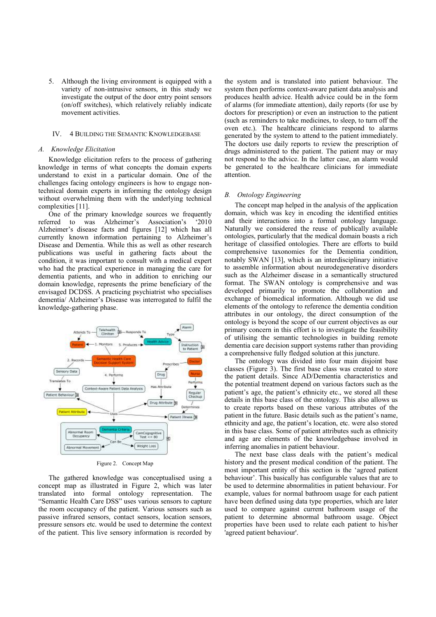5. Although the living environment is equipped with a variety of non-intrusive sensors, in this study we investigate the output of the door entry point sensors (on/off switches), which relatively reliably indicate movement activities.

## IV. 4 BUILDING THE SEMANTIC KNOWLEDGEBASE

## *A. Knowledge Elicitation*

Knowledge elicitation refers to the process of gathering knowledge in terms of what concepts the domain experts understand to exist in a particular domain. One of the challenges facing ontology engineers is how to engage nontechnical domain experts in informing the ontology design without overwhelming them with the underlying technical complexities [11].

One of the primary knowledge sources we frequently referred to was Alzheimer's Association's '2010 Alzheimer's disease facts and figures [12] which has all currently known information pertaining to Alzheimer's Disease and Dementia. While this as well as other research publications was useful in gathering facts about the condition, it was important to consult with a medical expert who had the practical experience in managing the care for dementia patients, and who in addition to enriching our domain knowledge, represents the prime beneficiary of the envisaged DCDSS. A practicing psychiatrist who specialises dementia/ Alzheimer's Disease was interrogated to fulfil the knowledge-gathering phase.



Figure 2. Concept Map

The gathered knowledge was conceptualised using a concept map as illustrated in Figure 2, which was later translated into formal ontology representation. The "Semantic Health Care DSS" uses various sensors to capture the room occupancy of the patient. Various sensors such as passive infrared sensors, contact sensors, location sensors, pressure sensors etc. would be used to determine the context of the patient. This live sensory information is recorded by

the system and is translated into patient behaviour. The system then performs context-aware patient data analysis and produces health advice. Health advice could be in the form of alarms (for immediate attention), daily reports (for use by doctors for prescription) or even an instruction to the patient (such as reminders to take medicines, to sleep, to turn off the oven etc.). The healthcare clinicians respond to alarms generated by the system to attend to the patient immediately. The doctors use daily reports to review the prescription of drugs administered to the patient. The patient may or may not respond to the advice. In the latter case, an alarm would be generated to the healthcare clinicians for immediate attention.

### *B. Ontology Engineering*

The concept map helped in the analysis of the application domain, which was key in encoding the identified entities and their interactions into a formal ontology language. Naturally we considered the reuse of publically available ontologies, particularly that the medical domain boasts a rich heritage of classified ontologies. There are efforts to build comprehensive taxonomies for the Dementia condition, notably SWAN [13], which is an interdisciplinary initiative to assemble information about neurodegenerative disorders such as the Alzheimer disease in a semantically structured format. The SWAN ontology is comprehensive and was developed primarily to promote the collaboration and exchange of biomedical information. Although we did use elements of the ontology to reference the dementia condition attributes in our ontology, the direct consumption of the ontology is beyond the scope of our current objectives as our primary concern in this effort is to investigate the feasibility of utilising the semantic technologies in building remote dementia care decision support systems rather than providing a comprehensive fully fledged solution at this juncture.

The ontology was divided into four main disjoint base classes (Figure 3). The first base class was created to store the patient details. Since AD/Dementia characteristics and the potential treatment depend on various factors such as the patient's age, the patient's ethnicity etc., we stored all these details in this base class of the ontology. This also allows us to create reports based on these various attributes of the patient in the future. Basic details such as the patient's name, ethnicity and age, the patient's location, etc. were also stored in this base class. Some of patient attributes such as ethnicity and age are elements of the knowledgebase involved in inferring anomalies in patient behaviour.

The next base class deals with the patient's medical history and the present medical condition of the patient. The most important entity of this section is the 'agreed patient behaviour'. This basically has configurable values that are to be used to determine abnormalities in patient behaviour. For example, values for normal bathroom usage for each patient have been defined using data type properties, which are later used to compare against current bathroom usage of the patient to determine abnormal bathroom usage. Object properties have been used to relate each patient to his/her 'agreed patient behaviour'.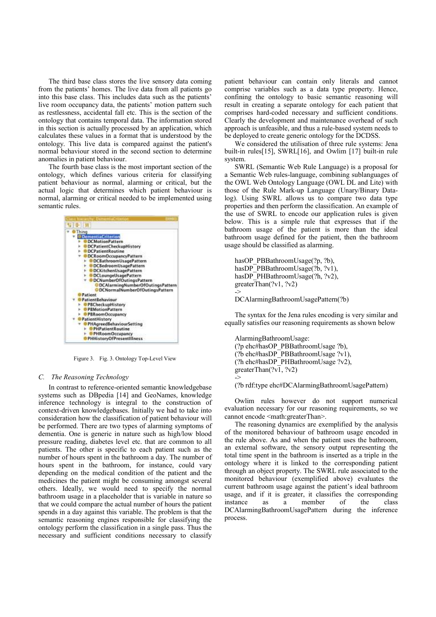The third base class stores the live sensory data coming from the patients' homes. The live data from all patients go into this base class. This includes data such as the patients' live room occupancy data, the patients' motion pattern such as restlessness, accidental fall etc. This is the section of the ontology that contains temporal data. The information stored in this section is actually processed by an application, which calculates these values in a format that is understood by the ontology. This live data is compared against the patient's normal behaviour stored in the second section to determine anomalies in patient behaviour.

The fourth base class is the most important section of the ontology, which defines various criteria for classifying patient behaviour as normal, alarming or critical, but the actual logic that determines which patient behaviour is normal, alarming or critical needed to be implemented using semantic rules.



Figure 3. Fig. 3. Ontology Top-Level View

#### *C. The Reasoning Technology*

In contrast to reference-oriented semantic knowledgebase systems such as DBpedia [14] and GeoNames, knowledge inference technology is integral to the construction of context-driven knowledgebases. Initially we had to take into consideration how the classification of patient behaviour will be performed. There are two types of alarming symptoms of dementia. One is generic in nature such as high/low blood pressure reading, diabetes level etc. that are common to all patients. The other is specific to each patient such as the number of hours spent in the bathroom a day. The number of hours spent in the bathroom, for instance, could vary depending on the medical condition of the patient and the medicines the patient might be consuming amongst several others. Ideally, we would need to specify the normal bathroom usage in a placeholder that is variable in nature so that we could compare the actual number of hours the patient spends in a day against this variable. The problem is that the semantic reasoning engines responsible for classifying the ontology perform the classification in a single pass. Thus the necessary and sufficient conditions necessary to classify

patient behaviour can contain only literals and cannot comprise variables such as a data type property. Hence, confining the ontology to basic semantic reasoning will result in creating a separate ontology for each patient that comprises hard-coded necessary and sufficient conditions. Clearly the development and maintenance overhead of such approach is unfeasible, and thus a rule-based system needs to be deployed to create generic ontology for the DCDSS.

We considered the utilisation of three rule systems: Jena built-in rules[15], SWRL[16], and Owlim [17] built-in rule system.

SWRL (Semantic Web Rule Language) is a proposal for a Semantic Web rules-language, combining sublanguages of the OWL Web Ontology Language (OWL DL and Lite) with those of the Rule Mark-up Language (Unary/Binary Datalog). Using SWRL allows us to compare two data type properties and then perform the classification. An example of the use of SWRL to encode our application rules is given below. This is a simple rule that expresses that if the bathroom usage of the patient is more than the ideal bathroom usage defined for the patient, then the bathroom usage should be classified as alarming.

hasOP\_PBBathroomUsage(?p, ?b), hasDP\_PBBathroomUsage(?b, ?v1), hasDP\_PHBathroomUsage(?h, ?v2), greaterThan(?v1, ?v2) ->

DCAlarmingBathroomUsagePattern(?b)

The syntax for the Jena rules encoding is very similar and equally satisfies our reasoning requirements as shown below

AlarmingBathroomUsage: (?p ehc#hasOP\_PBBathroomUsage ?b), (?b ehc#hasDP\_PBBathroomUsage ?v1), (?h ehc#hasDP\_PHBathroomUsage ?v2), greaterThan(?v1, ?v2) ->

(?b rdf:type ehc#DCAlarmingBathroomUsagePattern)

Owlim rules however do not support numerical evaluation necessary for our reasoning requirements, so we cannot encode <math:greaterThan>.

The reasoning dynamics are exemplified by the analysis of the monitored behaviour of bathroom usage encoded in the rule above. As and when the patient uses the bathroom, an external software, the sensory output representing the total time spent in the bathroom is inserted as a triple in the ontology where it is linked to the corresponding patient through an object property. The SWRL rule associated to the monitored behaviour (exemplified above) evaluates the current bathroom usage against the patient's ideal bathroom usage, and if it is greater, it classifies the corresponding as a member of the class DCAlarmingBathroomUsagePattern during the inference process.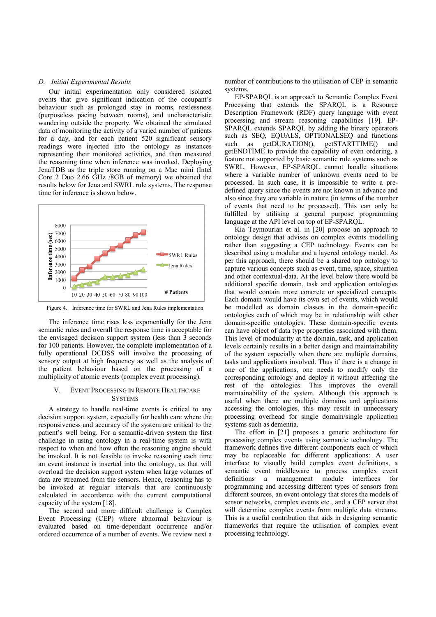#### *D. Initial Experimental Results*

Our initial experimentation only considered isolated events that give significant indication of the occupant's behaviour such as prolonged stay in rooms, restlessness (purposeless pacing between rooms), and uncharacteristic wandering outside the property. We obtained the simulated data of monitoring the activity of a varied number of patients for a day, and for each patient 520 significant sensory readings were injected into the ontology as instances representing their monitored activities, and then measured the reasoning time when inference was invoked. Deploying JenaTDB as the triple store running on a Mac mini (Intel Core 2 Duo 2.66 GHz /8GB of memory) we obtained the results below for Jena and SWRL rule systems. The response time for inference is shown below.



Figure 4. Inference time for SWRL and Jena Rules implementation

The inference time rises less exponentially for the Jena semantic rules and overall the response time is acceptable for the envisaged decision support system (less than 3 seconds for 100 patients. However, the complete implementation of a fully operational DCDSS will involve the processing of sensory output at high frequency as well as the analysis of the patient behaviour based on the processing of a multiplicity of atomic events (complex event processing).

# EVENT PROCESSING IN REMOTE HEALTHCARE **SYSTEMS**

A strategy to handle real-time events is critical to any decision support system, especially for health care where the responsiveness and accuracy of the system are critical to the patient's well being. For a semantic-driven system the first challenge in using ontology in a real-time system is with respect to when and how often the reasoning engine should be invoked. It is not feasible to invoke reasoning each time an event instance is inserted into the ontology, as that will overload the decision support system when large volumes of data are streamed from the sensors. Hence, reasoning has to be invoked at regular intervals that are continuously calculated in accordance with the current computational capacity of the system [18].

The second and more difficult challenge is Complex Event Processing (CEP) where abnormal behaviour is evaluated based on time-dependant occurrence and/or ordered occurrence of a number of events. We review next a number of contributions to the utilisation of CEP in semantic systems.

EP-SPARQL is an approach to Semantic Complex Event Processing that extends the SPARQL is a Resource Description Framework (RDF) query language with event processing and stream reasoning capabilities [19]. EP-SPARQL extends SPARQL by adding the binary operators such as SEQ, EQUALS, OPTIONALSEQ and functions<br>such as getDURATION(), getSTARTTIME() and such as getDURATION(), getSTARTTIME() and getENDTIME to provide the capability of even ordering, a feature not supported by basic semantic rule systems such as SWRL. However, EP-SPARQL cannot handle situations where a variable number of unknown events need to be processed. In such case, it is impossible to write a predefined query since the events are not known in advance and also since they are variable in nature (in terms of the number of events that need to be processed). This can only be fulfilled by utilising a general purpose programming language at the API level on top of EP-SPARQL.

Kia Teymourian et al. in [20] propose an approach to ontology design that advises on complex events modelling rather than suggesting a CEP technology. Events can be described using a modular and a layered ontology model. As per this approach, there should be a shared top ontology to capture various concepts such as event, time, space, situation and other contextual-data. At the level below there would be additional specific domain, task and application ontologies that would contain more concrete or specialized concepts. Each domain would have its own set of events, which would be modelled as domain classes in the domain-specific ontologies each of which may be in relationship with other domain-specific ontologies. These domain-specific events can have object of data type properties associated with them. This level of modularity at the domain, task, and application levels certainly results in a better design and maintainability of the system especially when there are multiple domains, tasks and applications involved. Thus if there is a change in one of the applications, one needs to modify only the corresponding ontology and deploy it without affecting the rest of the ontologies. This improves the overall maintainability of the system. Although this approach is useful when there are multiple domains and applications accessing the ontologies, this may result in unnecessary processing overhead for single domain/single application systems such as dementia.

The effort in [21] proposes a generic architecture for processing complex events using semantic technology. The framework defines five different components each of which may be replaceable for different applications: A user interface to visually build complex event definitions, a semantic event middleware to process complex event definitions a management module interfaces for definitions a management module interfaces for programming and accessing different types of sensors from different sources, an event ontology that stores the models of sensor networks, complex events etc., and a CEP server that will determine complex events from multiple data streams. This is a useful contribution that aids in designing semantic frameworks that require the utilisation of complex event processing technology.